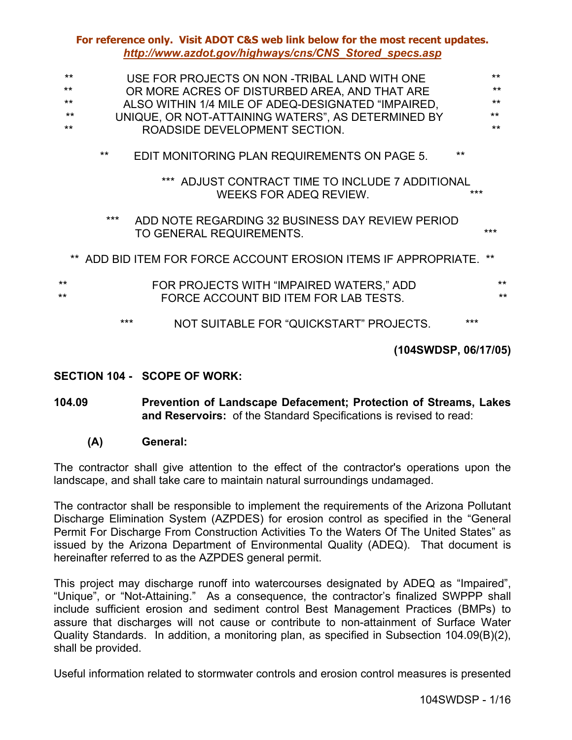| $**$<br>**<br>$***$<br>$**$<br>$\star\star$ |       |  | USE FOR PROJECTS ON NON -TRIBAL LAND WITH ONE<br>OR MORE ACRES OF DISTURBED AREA, AND THAT ARE<br>ALSO WITHIN 1/4 MILE OF ADEQ-DESIGNATED "IMPAIRED,<br>UNIQUE, OR NOT-ATTAINING WATERS", AS DETERMINED BY<br>ROADSIDE DEVELOPMENT SECTION. |  |                      |       | $**$<br>$**$<br>$***$<br>$***$<br>$**$ |
|---------------------------------------------|-------|--|---------------------------------------------------------------------------------------------------------------------------------------------------------------------------------------------------------------------------------------------|--|----------------------|-------|----------------------------------------|
|                                             | $***$ |  | EDIT MONITORING PLAN REQUIREMENTS ON PAGE 5.                                                                                                                                                                                                |  |                      | $***$ |                                        |
|                                             |       |  | *** ADJUST CONTRACT TIME TO INCLUDE 7 ADDITIONAL<br>WEEKS FOR ADEQ REVIEW.                                                                                                                                                                  |  |                      | ***   |                                        |
|                                             | ***   |  | ADD NOTE REGARDING 32 BUSINESS DAY REVIEW PERIOD<br>TO GENERAL REQUIREMENTS.                                                                                                                                                                |  |                      |       | ***                                    |
|                                             |       |  | ** ADD BID ITEM FOR FORCE ACCOUNT EROSION ITEMS IF APPROPRIATE.                                                                                                                                                                             |  |                      |       | **                                     |
| **<br>**                                    |       |  | FOR PROJECTS WITH "IMPAIRED WATERS," ADD<br>FORCE ACCOUNT BID ITEM FOR LAB TESTS.                                                                                                                                                           |  |                      |       | $**$<br>**                             |
|                                             | ***   |  | NOT SUITABLE FOR "QUICKSTART" PROJECTS.                                                                                                                                                                                                     |  |                      | ***   |                                        |
|                                             |       |  |                                                                                                                                                                                                                                             |  | (104SWDSP, 06/17/05) |       |                                        |

### **SECTION 104 - SCOPE OF WORK:**

- **104.09 Prevention of Landscape Defacement; Protection of Streams, Lakes and Reservoirs:** of the Standard Specifications is revised to read:
	- **(A) General:**

The contractor shall give attention to the effect of the contractor's operations upon the landscape, and shall take care to maintain natural surroundings undamaged.

The contractor shall be responsible to implement the requirements of the Arizona Pollutant Discharge Elimination System (AZPDES) for erosion control as specified in the "General Permit For Discharge From Construction Activities To the Waters Of The United States" as issued by the Arizona Department of Environmental Quality (ADEQ). That document is hereinafter referred to as the AZPDES general permit.

This project may discharge runoff into watercourses designated by ADEQ as "Impaired", "Unique", or "Not-Attaining." As a consequence, the contractor's finalized SWPPP shall include sufficient erosion and sediment control Best Management Practices (BMPs) to assure that discharges will not cause or contribute to non-attainment of Surface Water Quality Standards. In addition, a monitoring plan, as specified in Subsection 104.09(B)(2), shall be provided.

Useful information related to stormwater controls and erosion control measures is presented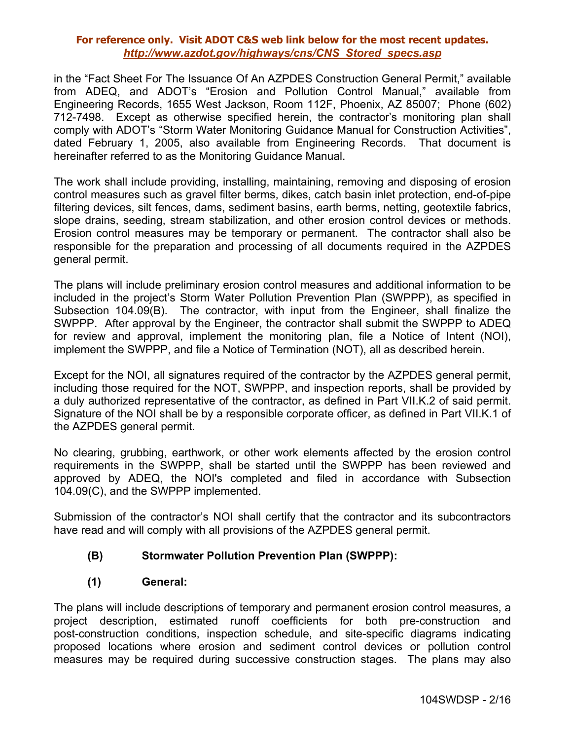in the "Fact Sheet For The Issuance Of An AZPDES Construction General Permit," available from ADEQ, and ADOT's "Erosion and Pollution Control Manual," available from Engineering Records, 1655 West Jackson, Room 112F, Phoenix, AZ 85007; Phone (602) 712-7498. Except as otherwise specified herein, the contractor's monitoring plan shall comply with ADOT's "Storm Water Monitoring Guidance Manual for Construction Activities", dated February 1, 2005, also available from Engineering Records. That document is hereinafter referred to as the Monitoring Guidance Manual.

The work shall include providing, installing, maintaining, removing and disposing of erosion control measures such as gravel filter berms, dikes, catch basin inlet protection, end-of-pipe filtering devices, silt fences, dams, sediment basins, earth berms, netting, geotextile fabrics, slope drains, seeding, stream stabilization, and other erosion control devices or methods. Erosion control measures may be temporary or permanent. The contractor shall also be responsible for the preparation and processing of all documents required in the AZPDES general permit.

The plans will include preliminary erosion control measures and additional information to be included in the project's Storm Water Pollution Prevention Plan (SWPPP), as specified in Subsection 104.09(B). The contractor, with input from the Engineer, shall finalize the SWPPP. After approval by the Engineer, the contractor shall submit the SWPPP to ADEQ for review and approval, implement the monitoring plan, file a Notice of Intent (NOI), implement the SWPPP, and file a Notice of Termination (NOT), all as described herein.

Except for the NOI, all signatures required of the contractor by the AZPDES general permit, including those required for the NOT, SWPPP, and inspection reports, shall be provided by a duly authorized representative of the contractor, as defined in Part VII.K.2 of said permit. Signature of the NOI shall be by a responsible corporate officer, as defined in Part VII.K.1 of the AZPDES general permit.

No clearing, grubbing, earthwork, or other work elements affected by the erosion control requirements in the SWPPP, shall be started until the SWPPP has been reviewed and approved by ADEQ, the NOI's completed and filed in accordance with Subsection 104.09(C), and the SWPPP implemented.

Submission of the contractor's NOI shall certify that the contractor and its subcontractors have read and will comply with all provisions of the AZPDES general permit.

## **(B) Stormwater Pollution Prevention Plan (SWPPP):**

## **(1) General:**

The plans will include descriptions of temporary and permanent erosion control measures, a project description, estimated runoff coefficients for both pre-construction and post-construction conditions, inspection schedule, and site-specific diagrams indicating proposed locations where erosion and sediment control devices or pollution control measures may be required during successive construction stages. The plans may also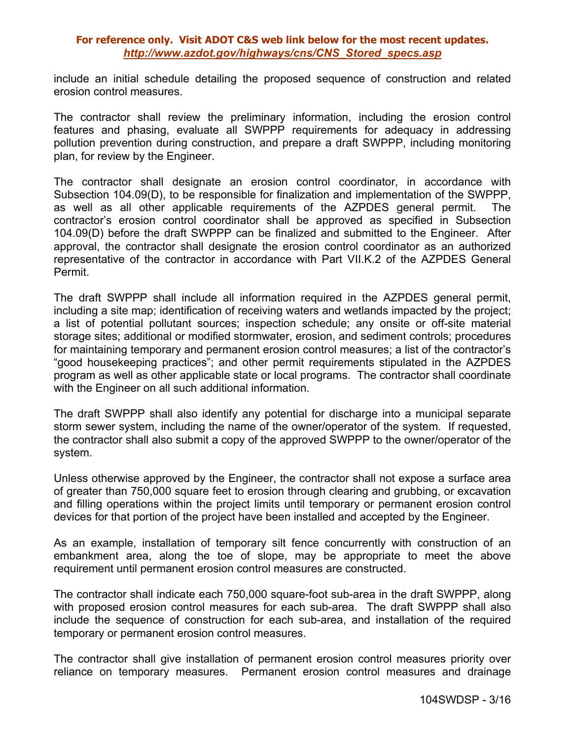include an initial schedule detailing the proposed sequence of construction and related erosion control measures.

The contractor shall review the preliminary information, including the erosion control features and phasing, evaluate all SWPPP requirements for adequacy in addressing pollution prevention during construction, and prepare a draft SWPPP, including monitoring plan, for review by the Engineer.

The contractor shall designate an erosion control coordinator, in accordance with Subsection 104.09(D), to be responsible for finalization and implementation of the SWPPP, as well as all other applicable requirements of the AZPDES general permit. The contractor's erosion control coordinator shall be approved as specified in Subsection 104.09(D) before the draft SWPPP can be finalized and submitted to the Engineer. After approval, the contractor shall designate the erosion control coordinator as an authorized representative of the contractor in accordance with Part VII.K.2 of the AZPDES General Permit.

The draft SWPPP shall include all information required in the AZPDES general permit, including a site map; identification of receiving waters and wetlands impacted by the project; a list of potential pollutant sources; inspection schedule; any onsite or off-site material storage sites; additional or modified stormwater, erosion, and sediment controls; procedures for maintaining temporary and permanent erosion control measures; a list of the contractor's "good housekeeping practices"; and other permit requirements stipulated in the AZPDES program as well as other applicable state or local programs. The contractor shall coordinate with the Engineer on all such additional information.

The draft SWPPP shall also identify any potential for discharge into a municipal separate storm sewer system, including the name of the owner/operator of the system. If requested, the contractor shall also submit a copy of the approved SWPPP to the owner/operator of the system.

Unless otherwise approved by the Engineer, the contractor shall not expose a surface area of greater than 750,000 square feet to erosion through clearing and grubbing, or excavation and filling operations within the project limits until temporary or permanent erosion control devices for that portion of the project have been installed and accepted by the Engineer.

As an example, installation of temporary silt fence concurrently with construction of an embankment area, along the toe of slope, may be appropriate to meet the above requirement until permanent erosion control measures are constructed.

The contractor shall indicate each 750,000 square-foot sub-area in the draft SWPPP, along with proposed erosion control measures for each sub-area. The draft SWPPP shall also include the sequence of construction for each sub-area, and installation of the required temporary or permanent erosion control measures.

The contractor shall give installation of permanent erosion control measures priority over reliance on temporary measures. Permanent erosion control measures and drainage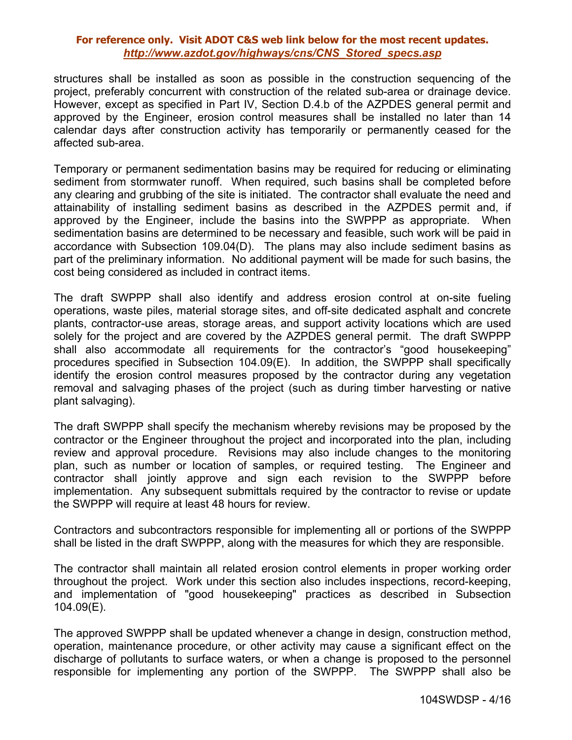structures shall be installed as soon as possible in the construction sequencing of the project, preferably concurrent with construction of the related sub-area or drainage device. However, except as specified in Part IV, Section D.4.b of the AZPDES general permit and approved by the Engineer, erosion control measures shall be installed no later than 14 calendar days after construction activity has temporarily or permanently ceased for the affected sub-area.

Temporary or permanent sedimentation basins may be required for reducing or eliminating sediment from stormwater runoff. When required, such basins shall be completed before any clearing and grubbing of the site is initiated. The contractor shall evaluate the need and attainability of installing sediment basins as described in the AZPDES permit and, if approved by the Engineer, include the basins into the SWPPP as appropriate. When sedimentation basins are determined to be necessary and feasible, such work will be paid in accordance with Subsection 109.04(D). The plans may also include sediment basins as part of the preliminary information. No additional payment will be made for such basins, the cost being considered as included in contract items.

The draft SWPPP shall also identify and address erosion control at on-site fueling operations, waste piles, material storage sites, and off-site dedicated asphalt and concrete plants, contractor-use areas, storage areas, and support activity locations which are used solely for the project and are covered by the AZPDES general permit. The draft SWPPP shall also accommodate all requirements for the contractor's "good housekeeping" procedures specified in Subsection 104.09(E). In addition, the SWPPP shall specifically identify the erosion control measures proposed by the contractor during any vegetation removal and salvaging phases of the project (such as during timber harvesting or native plant salvaging).

The draft SWPPP shall specify the mechanism whereby revisions may be proposed by the contractor or the Engineer throughout the project and incorporated into the plan, including review and approval procedure. Revisions may also include changes to the monitoring plan, such as number or location of samples, or required testing. The Engineer and contractor shall jointly approve and sign each revision to the SWPPP before implementation. Any subsequent submittals required by the contractor to revise or update the SWPPP will require at least 48 hours for review.

Contractors and subcontractors responsible for implementing all or portions of the SWPPP shall be listed in the draft SWPPP, along with the measures for which they are responsible.

The contractor shall maintain all related erosion control elements in proper working order throughout the project. Work under this section also includes inspections, record-keeping, and implementation of "good housekeeping" practices as described in Subsection 104.09(E).

The approved SWPPP shall be updated whenever a change in design, construction method, operation, maintenance procedure, or other activity may cause a significant effect on the discharge of pollutants to surface waters, or when a change is proposed to the personnel responsible for implementing any portion of the SWPPP. The SWPPP shall also be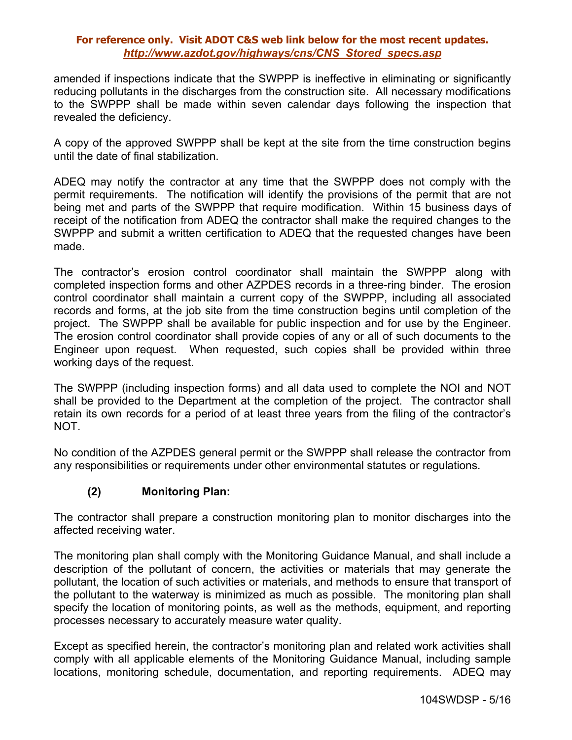amended if inspections indicate that the SWPPP is ineffective in eliminating or significantly reducing pollutants in the discharges from the construction site. All necessary modifications to the SWPPP shall be made within seven calendar days following the inspection that revealed the deficiency.

A copy of the approved SWPPP shall be kept at the site from the time construction begins until the date of final stabilization.

ADEQ may notify the contractor at any time that the SWPPP does not comply with the permit requirements. The notification will identify the provisions of the permit that are not being met and parts of the SWPPP that require modification. Within 15 business days of receipt of the notification from ADEQ the contractor shall make the required changes to the SWPPP and submit a written certification to ADEQ that the requested changes have been made.

The contractor's erosion control coordinator shall maintain the SWPPP along with completed inspection forms and other AZPDES records in a three-ring binder. The erosion control coordinator shall maintain a current copy of the SWPPP, including all associated records and forms, at the job site from the time construction begins until completion of the project. The SWPPP shall be available for public inspection and for use by the Engineer. The erosion control coordinator shall provide copies of any or all of such documents to the Engineer upon request. When requested, such copies shall be provided within three working days of the request.

The SWPPP (including inspection forms) and all data used to complete the NOI and NOT shall be provided to the Department at the completion of the project. The contractor shall retain its own records for a period of at least three years from the filing of the contractor's NOT.

No condition of the AZPDES general permit or the SWPPP shall release the contractor from any responsibilities or requirements under other environmental statutes or regulations.

# **(2) Monitoring Plan:**

The contractor shall prepare a construction monitoring plan to monitor discharges into the affected receiving water.

The monitoring plan shall comply with the Monitoring Guidance Manual, and shall include a description of the pollutant of concern, the activities or materials that may generate the pollutant, the location of such activities or materials, and methods to ensure that transport of the pollutant to the waterway is minimized as much as possible. The monitoring plan shall specify the location of monitoring points, as well as the methods, equipment, and reporting processes necessary to accurately measure water quality.

Except as specified herein, the contractor's monitoring plan and related work activities shall comply with all applicable elements of the Monitoring Guidance Manual, including sample locations, monitoring schedule, documentation, and reporting requirements. ADEQ may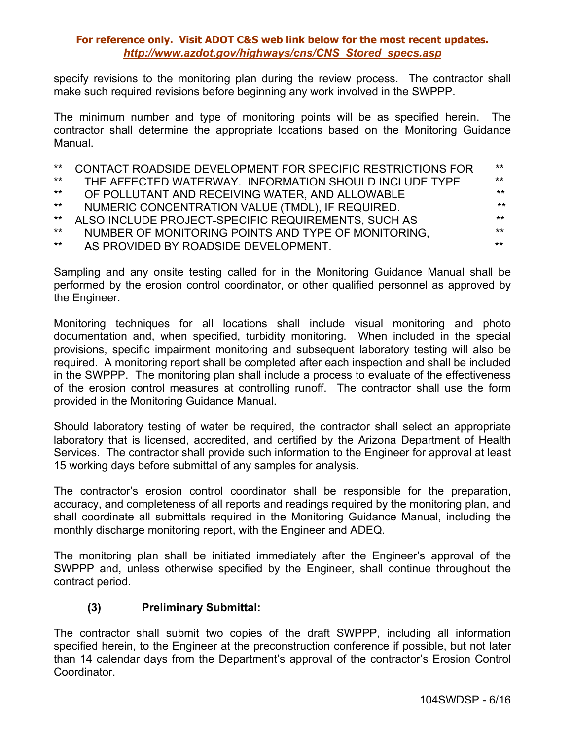specify revisions to the monitoring plan during the review process. The contractor shall make such required revisions before beginning any work involved in the SWPPP.

The minimum number and type of monitoring points will be as specified herein. The contractor shall determine the appropriate locations based on the Monitoring Guidance Manual.

| $***$ | CONTACT ROADSIDE DEVELOPMENT FOR SPECIFIC RESTRICTIONS FOR | $***$ |
|-------|------------------------------------------------------------|-------|
| $***$ | THE AFFECTED WATERWAY. INFORMATION SHOULD INCLUDE TYPE     | $***$ |
| $***$ | OF POLLUTANT AND RECEIVING WATER, AND ALLOWABLE            | $***$ |
| $***$ | NUMERIC CONCENTRATION VALUE (TMDL), IF REQUIRED.           | $***$ |
| $***$ | ALSO INCLUDE PROJECT-SPECIFIC REQUIREMENTS, SUCH AS        | $***$ |
| $***$ | NUMBER OF MONITORING POINTS AND TYPE OF MONITORING.        | $***$ |
| $***$ | AS PROVIDED BY ROADSIDE DEVELOPMENT.                       | $***$ |
|       |                                                            |       |

Sampling and any onsite testing called for in the Monitoring Guidance Manual shall be performed by the erosion control coordinator, or other qualified personnel as approved by the Engineer.

Monitoring techniques for all locations shall include visual monitoring and photo documentation and, when specified, turbidity monitoring. When included in the special provisions, specific impairment monitoring and subsequent laboratory testing will also be required. A monitoring report shall be completed after each inspection and shall be included in the SWPPP. The monitoring plan shall include a process to evaluate of the effectiveness of the erosion control measures at controlling runoff. The contractor shall use the form provided in the Monitoring Guidance Manual.

Should laboratory testing of water be required, the contractor shall select an appropriate laboratory that is licensed, accredited, and certified by the Arizona Department of Health Services. The contractor shall provide such information to the Engineer for approval at least 15 working days before submittal of any samples for analysis.

The contractor's erosion control coordinator shall be responsible for the preparation, accuracy, and completeness of all reports and readings required by the monitoring plan, and shall coordinate all submittals required in the Monitoring Guidance Manual, including the monthly discharge monitoring report, with the Engineer and ADEQ.

The monitoring plan shall be initiated immediately after the Engineer's approval of the SWPPP and, unless otherwise specified by the Engineer, shall continue throughout the contract period.

# **(3) Preliminary Submittal:**

The contractor shall submit two copies of the draft SWPPP, including all information specified herein, to the Engineer at the preconstruction conference if possible, but not later than 14 calendar days from the Department's approval of the contractor's Erosion Control Coordinator.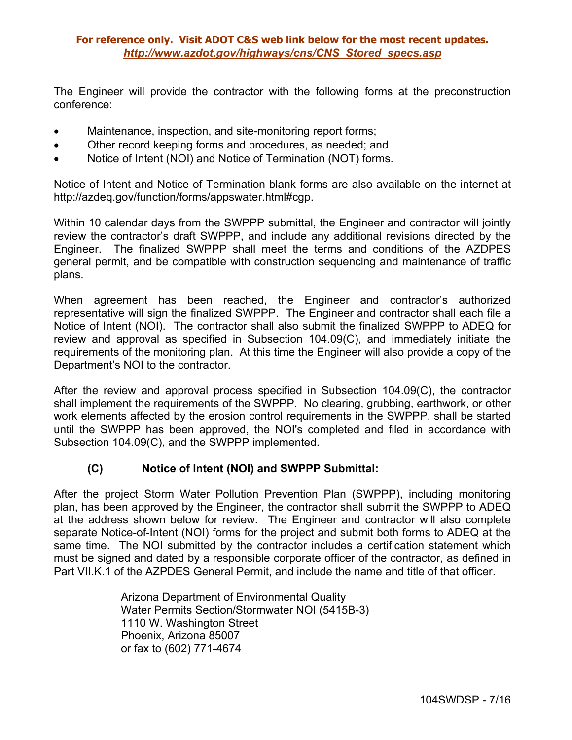The Engineer will provide the contractor with the following forms at the preconstruction conference:

- Maintenance, inspection, and site-monitoring report forms;
- Other record keeping forms and procedures, as needed; and
- Notice of Intent (NOI) and Notice of Termination (NOT) forms.

Notice of Intent and Notice of Termination blank forms are also available on the internet at http://azdeq.gov/function/forms/appswater.html#cgp.

Within 10 calendar days from the SWPPP submittal, the Engineer and contractor will jointly review the contractor's draft SWPPP, and include any additional revisions directed by the Engineer. The finalized SWPPP shall meet the terms and conditions of the AZDPES general permit, and be compatible with construction sequencing and maintenance of traffic plans.

When agreement has been reached, the Engineer and contractor's authorized representative will sign the finalized SWPPP. The Engineer and contractor shall each file a Notice of Intent (NOI). The contractor shall also submit the finalized SWPPP to ADEQ for review and approval as specified in Subsection 104.09(C), and immediately initiate the requirements of the monitoring plan. At this time the Engineer will also provide a copy of the Department's NOI to the contractor.

After the review and approval process specified in Subsection 104.09(C), the contractor shall implement the requirements of the SWPPP. No clearing, grubbing, earthwork, or other work elements affected by the erosion control requirements in the SWPPP, shall be started until the SWPPP has been approved, the NOI's completed and filed in accordance with Subsection 104.09(C), and the SWPPP implemented.

## **(C) Notice of Intent (NOI) and SWPPP Submittal:**

After the project Storm Water Pollution Prevention Plan (SWPPP), including monitoring plan, has been approved by the Engineer, the contractor shall submit the SWPPP to ADEQ at the address shown below for review. The Engineer and contractor will also complete separate Notice-of-Intent (NOI) forms for the project and submit both forms to ADEQ at the same time. The NOI submitted by the contractor includes a certification statement which must be signed and dated by a responsible corporate officer of the contractor, as defined in Part VII.K.1 of the AZPDES General Permit, and include the name and title of that officer.

> Arizona Department of Environmental Quality Water Permits Section/Stormwater NOI (5415B-3) 1110 W. Washington Street Phoenix, Arizona 85007 or fax to (602) 771-4674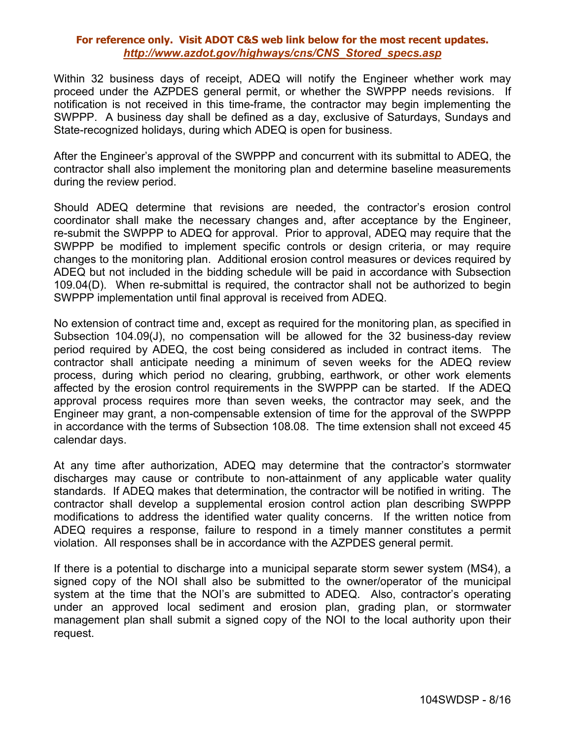Within 32 business days of receipt, ADEQ will notify the Engineer whether work may proceed under the AZPDES general permit, or whether the SWPPP needs revisions. If notification is not received in this time-frame, the contractor may begin implementing the SWPPP. A business day shall be defined as a day, exclusive of Saturdays, Sundays and State-recognized holidays, during which ADEQ is open for business.

After the Engineer's approval of the SWPPP and concurrent with its submittal to ADEQ, the contractor shall also implement the monitoring plan and determine baseline measurements during the review period.

Should ADEQ determine that revisions are needed, the contractor's erosion control coordinator shall make the necessary changes and, after acceptance by the Engineer, re-submit the SWPPP to ADEQ for approval. Prior to approval, ADEQ may require that the SWPPP be modified to implement specific controls or design criteria, or may require changes to the monitoring plan. Additional erosion control measures or devices required by ADEQ but not included in the bidding schedule will be paid in accordance with Subsection 109.04(D). When re-submittal is required, the contractor shall not be authorized to begin SWPPP implementation until final approval is received from ADEQ.

No extension of contract time and, except as required for the monitoring plan, as specified in Subsection 104.09(J), no compensation will be allowed for the 32 business-day review period required by ADEQ, the cost being considered as included in contract items. The contractor shall anticipate needing a minimum of seven weeks for the ADEQ review process, during which period no clearing, grubbing, earthwork, or other work elements affected by the erosion control requirements in the SWPPP can be started. If the ADEQ approval process requires more than seven weeks, the contractor may seek, and the Engineer may grant, a non-compensable extension of time for the approval of the SWPPP in accordance with the terms of Subsection 108.08. The time extension shall not exceed 45 calendar days.

At any time after authorization, ADEQ may determine that the contractor's stormwater discharges may cause or contribute to non-attainment of any applicable water quality standards. If ADEQ makes that determination, the contractor will be notified in writing. The contractor shall develop a supplemental erosion control action plan describing SWPPP modifications to address the identified water quality concerns. If the written notice from ADEQ requires a response, failure to respond in a timely manner constitutes a permit violation. All responses shall be in accordance with the AZPDES general permit.

If there is a potential to discharge into a municipal separate storm sewer system (MS4), a signed copy of the NOI shall also be submitted to the owner/operator of the municipal system at the time that the NOI's are submitted to ADEQ. Also, contractor's operating under an approved local sediment and erosion plan, grading plan, or stormwater management plan shall submit a signed copy of the NOI to the local authority upon their request.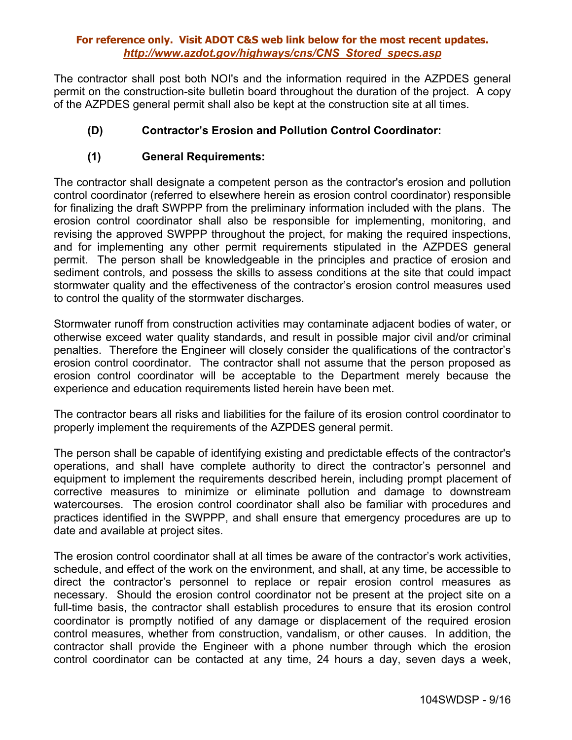The contractor shall post both NOI's and the information required in the AZPDES general permit on the construction-site bulletin board throughout the duration of the project. A copy of the AZPDES general permit shall also be kept at the construction site at all times.

# **(D) Contractor's Erosion and Pollution Control Coordinator:**

## **(1) General Requirements:**

The contractor shall designate a competent person as the contractor's erosion and pollution control coordinator (referred to elsewhere herein as erosion control coordinator) responsible for finalizing the draft SWPPP from the preliminary information included with the plans. The erosion control coordinator shall also be responsible for implementing, monitoring, and revising the approved SWPPP throughout the project, for making the required inspections, and for implementing any other permit requirements stipulated in the AZPDES general permit. The person shall be knowledgeable in the principles and practice of erosion and sediment controls, and possess the skills to assess conditions at the site that could impact stormwater quality and the effectiveness of the contractor's erosion control measures used to control the quality of the stormwater discharges.

Stormwater runoff from construction activities may contaminate adjacent bodies of water, or otherwise exceed water quality standards, and result in possible major civil and/or criminal penalties. Therefore the Engineer will closely consider the qualifications of the contractor's erosion control coordinator. The contractor shall not assume that the person proposed as erosion control coordinator will be acceptable to the Department merely because the experience and education requirements listed herein have been met.

The contractor bears all risks and liabilities for the failure of its erosion control coordinator to properly implement the requirements of the AZPDES general permit.

The person shall be capable of identifying existing and predictable effects of the contractor's operations, and shall have complete authority to direct the contractor's personnel and equipment to implement the requirements described herein, including prompt placement of corrective measures to minimize or eliminate pollution and damage to downstream watercourses. The erosion control coordinator shall also be familiar with procedures and practices identified in the SWPPP, and shall ensure that emergency procedures are up to date and available at project sites.

The erosion control coordinator shall at all times be aware of the contractor's work activities, schedule, and effect of the work on the environment, and shall, at any time, be accessible to direct the contractor's personnel to replace or repair erosion control measures as necessary. Should the erosion control coordinator not be present at the project site on a full-time basis, the contractor shall establish procedures to ensure that its erosion control coordinator is promptly notified of any damage or displacement of the required erosion control measures, whether from construction, vandalism, or other causes. In addition, the contractor shall provide the Engineer with a phone number through which the erosion control coordinator can be contacted at any time, 24 hours a day, seven days a week,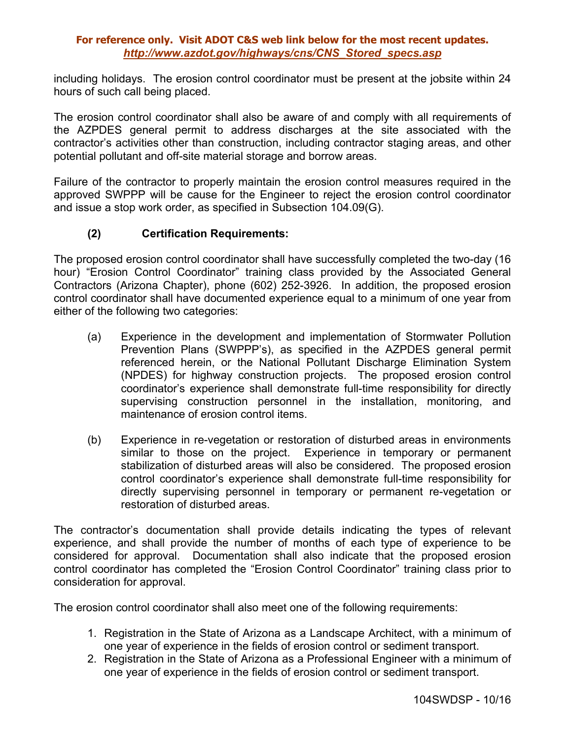including holidays. The erosion control coordinator must be present at the jobsite within 24 hours of such call being placed.

The erosion control coordinator shall also be aware of and comply with all requirements of the AZPDES general permit to address discharges at the site associated with the contractor's activities other than construction, including contractor staging areas, and other potential pollutant and off-site material storage and borrow areas.

Failure of the contractor to properly maintain the erosion control measures required in the approved SWPPP will be cause for the Engineer to reject the erosion control coordinator and issue a stop work order, as specified in Subsection 104.09(G).

# **(2) Certification Requirements:**

The proposed erosion control coordinator shall have successfully completed the two-day (16 hour) "Erosion Control Coordinator" training class provided by the Associated General Contractors (Arizona Chapter), phone (602) 252-3926. In addition, the proposed erosion control coordinator shall have documented experience equal to a minimum of one year from either of the following two categories:

- (a) Experience in the development and implementation of Stormwater Pollution Prevention Plans (SWPPP's), as specified in the AZPDES general permit referenced herein, or the National Pollutant Discharge Elimination System (NPDES) for highway construction projects. The proposed erosion control coordinator's experience shall demonstrate full-time responsibility for directly supervising construction personnel in the installation, monitoring, and maintenance of erosion control items.
- (b) Experience in re-vegetation or restoration of disturbed areas in environments similar to those on the project. Experience in temporary or permanent stabilization of disturbed areas will also be considered. The proposed erosion control coordinator's experience shall demonstrate full-time responsibility for directly supervising personnel in temporary or permanent re-vegetation or restoration of disturbed areas.

The contractor's documentation shall provide details indicating the types of relevant experience, and shall provide the number of months of each type of experience to be considered for approval. Documentation shall also indicate that the proposed erosion control coordinator has completed the "Erosion Control Coordinator" training class prior to consideration for approval.

The erosion control coordinator shall also meet one of the following requirements:

- 1. Registration in the State of Arizona as a Landscape Architect, with a minimum of one year of experience in the fields of erosion control or sediment transport.
- 2. Registration in the State of Arizona as a Professional Engineer with a minimum of one year of experience in the fields of erosion control or sediment transport.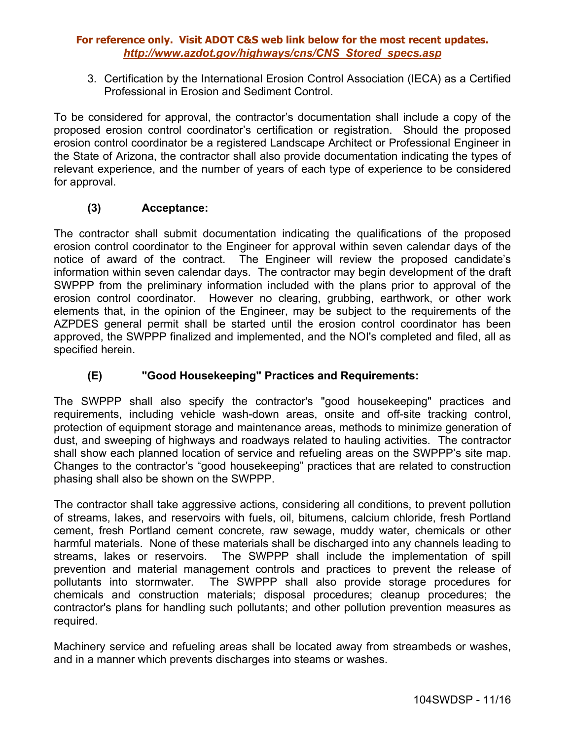3. Certification by the International Erosion Control Association (IECA) as a Certified Professional in Erosion and Sediment Control.

To be considered for approval, the contractor's documentation shall include a copy of the proposed erosion control coordinator's certification or registration. Should the proposed erosion control coordinator be a registered Landscape Architect or Professional Engineer in the State of Arizona, the contractor shall also provide documentation indicating the types of relevant experience, and the number of years of each type of experience to be considered for approval.

# **(3) Acceptance:**

The contractor shall submit documentation indicating the qualifications of the proposed erosion control coordinator to the Engineer for approval within seven calendar days of the notice of award of the contract. The Engineer will review the proposed candidate's information within seven calendar days. The contractor may begin development of the draft SWPPP from the preliminary information included with the plans prior to approval of the erosion control coordinator. However no clearing, grubbing, earthwork, or other work elements that, in the opinion of the Engineer, may be subject to the requirements of the AZPDES general permit shall be started until the erosion control coordinator has been approved, the SWPPP finalized and implemented, and the NOI's completed and filed, all as specified herein.

# **(E) "Good Housekeeping" Practices and Requirements:**

The SWPPP shall also specify the contractor's "good housekeeping" practices and requirements, including vehicle wash-down areas, onsite and off-site tracking control, protection of equipment storage and maintenance areas, methods to minimize generation of dust, and sweeping of highways and roadways related to hauling activities. The contractor shall show each planned location of service and refueling areas on the SWPPP's site map. Changes to the contractor's "good housekeeping" practices that are related to construction phasing shall also be shown on the SWPPP.

The contractor shall take aggressive actions, considering all conditions, to prevent pollution of streams, lakes, and reservoirs with fuels, oil, bitumens, calcium chloride, fresh Portland cement, fresh Portland cement concrete, raw sewage, muddy water, chemicals or other harmful materials. None of these materials shall be discharged into any channels leading to streams, lakes or reservoirs. The SWPPP shall include the implementation of spill prevention and material management controls and practices to prevent the release of pollutants into stormwater. The SWPPP shall also provide storage procedures for chemicals and construction materials; disposal procedures; cleanup procedures; the contractor's plans for handling such pollutants; and other pollution prevention measures as required.

Machinery service and refueling areas shall be located away from streambeds or washes, and in a manner which prevents discharges into steams or washes.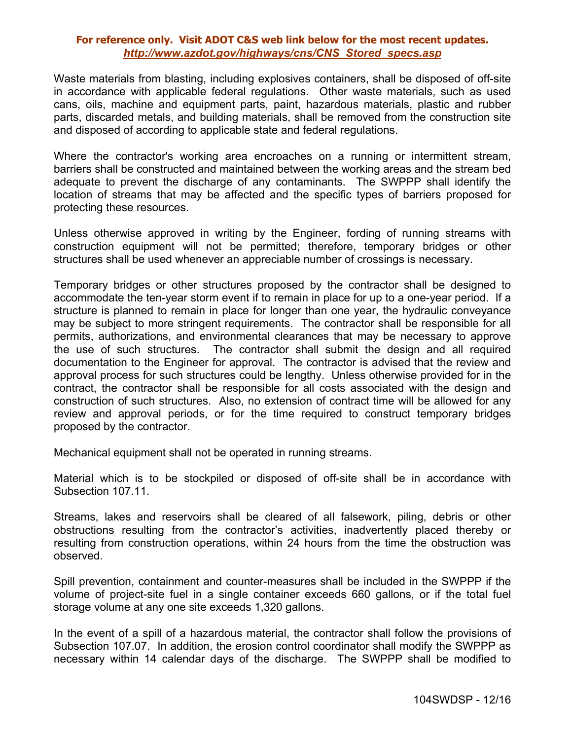Waste materials from blasting, including explosives containers, shall be disposed of off-site in accordance with applicable federal regulations. Other waste materials, such as used cans, oils, machine and equipment parts, paint, hazardous materials, plastic and rubber parts, discarded metals, and building materials, shall be removed from the construction site and disposed of according to applicable state and federal regulations.

Where the contractor's working area encroaches on a running or intermittent stream, barriers shall be constructed and maintained between the working areas and the stream bed adequate to prevent the discharge of any contaminants. The SWPPP shall identify the location of streams that may be affected and the specific types of barriers proposed for protecting these resources.

Unless otherwise approved in writing by the Engineer, fording of running streams with construction equipment will not be permitted; therefore, temporary bridges or other structures shall be used whenever an appreciable number of crossings is necessary.

Temporary bridges or other structures proposed by the contractor shall be designed to accommodate the ten-year storm event if to remain in place for up to a one-year period. If a structure is planned to remain in place for longer than one year, the hydraulic conveyance may be subject to more stringent requirements. The contractor shall be responsible for all permits, authorizations, and environmental clearances that may be necessary to approve the use of such structures. The contractor shall submit the design and all required documentation to the Engineer for approval. The contractor is advised that the review and approval process for such structures could be lengthy. Unless otherwise provided for in the contract, the contractor shall be responsible for all costs associated with the design and construction of such structures. Also, no extension of contract time will be allowed for any review and approval periods, or for the time required to construct temporary bridges proposed by the contractor.

Mechanical equipment shall not be operated in running streams.

Material which is to be stockpiled or disposed of off-site shall be in accordance with Subsection 107.11.

Streams, lakes and reservoirs shall be cleared of all falsework, piling, debris or other obstructions resulting from the contractor's activities, inadvertently placed thereby or resulting from construction operations, within 24 hours from the time the obstruction was observed.

Spill prevention, containment and counter-measures shall be included in the SWPPP if the volume of project-site fuel in a single container exceeds 660 gallons, or if the total fuel storage volume at any one site exceeds 1,320 gallons.

In the event of a spill of a hazardous material, the contractor shall follow the provisions of Subsection 107.07. In addition, the erosion control coordinator shall modify the SWPPP as necessary within 14 calendar days of the discharge. The SWPPP shall be modified to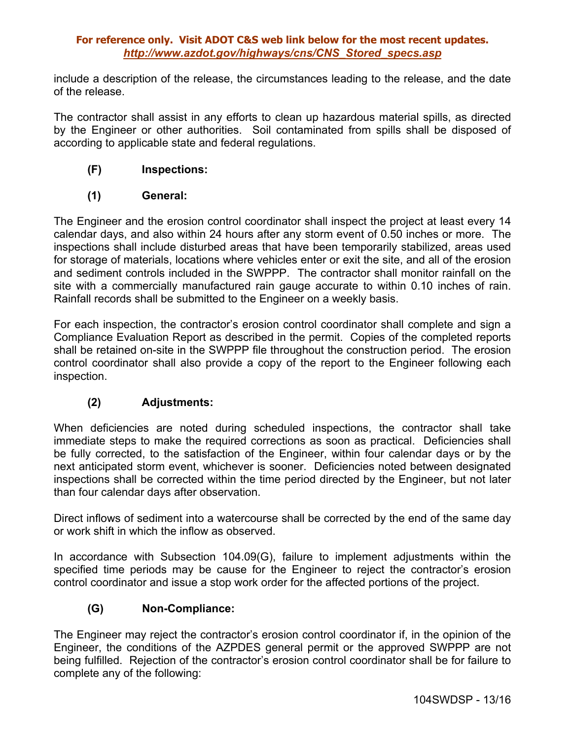include a description of the release, the circumstances leading to the release, and the date of the release.

The contractor shall assist in any efforts to clean up hazardous material spills, as directed by the Engineer or other authorities. Soil contaminated from spills shall be disposed of according to applicable state and federal regulations.

# **(F) Inspections:**

# **(1) General:**

The Engineer and the erosion control coordinator shall inspect the project at least every 14 calendar days, and also within 24 hours after any storm event of 0.50 inches or more. The inspections shall include disturbed areas that have been temporarily stabilized, areas used for storage of materials, locations where vehicles enter or exit the site, and all of the erosion and sediment controls included in the SWPPP. The contractor shall monitor rainfall on the site with a commercially manufactured rain gauge accurate to within 0.10 inches of rain. Rainfall records shall be submitted to the Engineer on a weekly basis.

For each inspection, the contractor's erosion control coordinator shall complete and sign a Compliance Evaluation Report as described in the permit. Copies of the completed reports shall be retained on-site in the SWPPP file throughout the construction period. The erosion control coordinator shall also provide a copy of the report to the Engineer following each inspection.

## **(2) Adjustments:**

When deficiencies are noted during scheduled inspections, the contractor shall take immediate steps to make the required corrections as soon as practical. Deficiencies shall be fully corrected, to the satisfaction of the Engineer, within four calendar days or by the next anticipated storm event, whichever is sooner. Deficiencies noted between designated inspections shall be corrected within the time period directed by the Engineer, but not later than four calendar days after observation.

Direct inflows of sediment into a watercourse shall be corrected by the end of the same day or work shift in which the inflow as observed.

In accordance with Subsection 104.09(G), failure to implement adjustments within the specified time periods may be cause for the Engineer to reject the contractor's erosion control coordinator and issue a stop work order for the affected portions of the project.

# **(G) Non-Compliance:**

The Engineer may reject the contractor's erosion control coordinator if, in the opinion of the Engineer, the conditions of the AZPDES general permit or the approved SWPPP are not being fulfilled. Rejection of the contractor's erosion control coordinator shall be for failure to complete any of the following: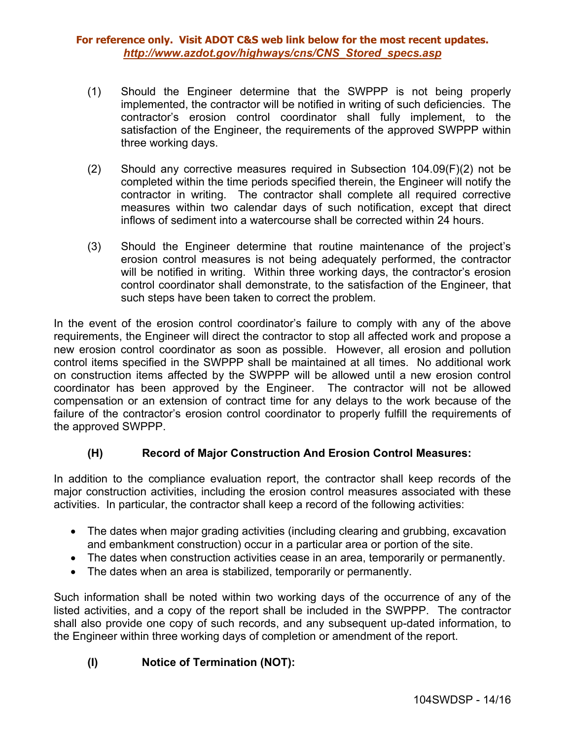- (1) Should the Engineer determine that the SWPPP is not being properly implemented, the contractor will be notified in writing of such deficiencies. The contractor's erosion control coordinator shall fully implement, to the satisfaction of the Engineer, the requirements of the approved SWPPP within three working days.
- (2) Should any corrective measures required in Subsection 104.09(F)(2) not be completed within the time periods specified therein, the Engineer will notify the contractor in writing. The contractor shall complete all required corrective measures within two calendar days of such notification, except that direct inflows of sediment into a watercourse shall be corrected within 24 hours.
- (3) Should the Engineer determine that routine maintenance of the project's erosion control measures is not being adequately performed, the contractor will be notified in writing. Within three working days, the contractor's erosion control coordinator shall demonstrate, to the satisfaction of the Engineer, that such steps have been taken to correct the problem.

In the event of the erosion control coordinator's failure to comply with any of the above requirements, the Engineer will direct the contractor to stop all affected work and propose a new erosion control coordinator as soon as possible. However, all erosion and pollution control items specified in the SWPPP shall be maintained at all times. No additional work on construction items affected by the SWPPP will be allowed until a new erosion control coordinator has been approved by the Engineer. The contractor will not be allowed compensation or an extension of contract time for any delays to the work because of the failure of the contractor's erosion control coordinator to properly fulfill the requirements of the approved SWPPP.

# **(H) Record of Major Construction And Erosion Control Measures:**

In addition to the compliance evaluation report, the contractor shall keep records of the major construction activities, including the erosion control measures associated with these activities. In particular, the contractor shall keep a record of the following activities:

- The dates when major grading activities (including clearing and grubbing, excavation and embankment construction) occur in a particular area or portion of the site.
- The dates when construction activities cease in an area, temporarily or permanently.
- The dates when an area is stabilized, temporarily or permanently.

Such information shall be noted within two working days of the occurrence of any of the listed activities, and a copy of the report shall be included in the SWPPP. The contractor shall also provide one copy of such records, and any subsequent up-dated information, to the Engineer within three working days of completion or amendment of the report.

# **(I) Notice of Termination (NOT):**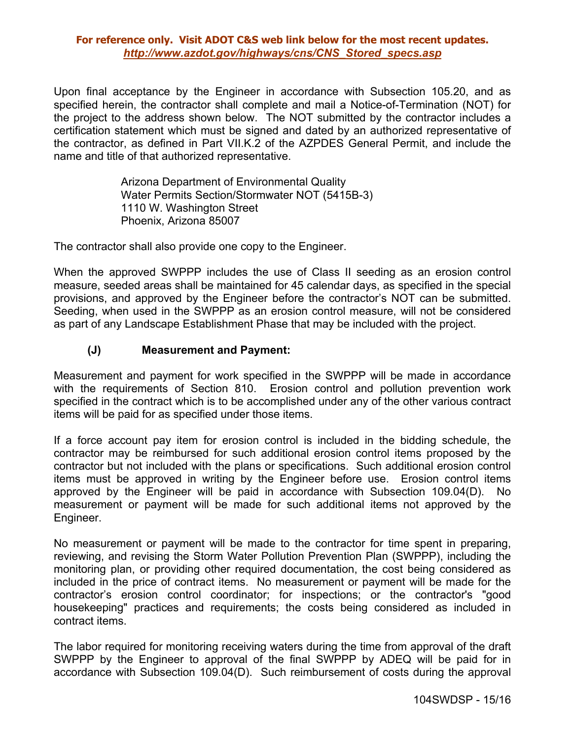Upon final acceptance by the Engineer in accordance with Subsection 105.20, and as specified herein, the contractor shall complete and mail a Notice-of-Termination (NOT) for the project to the address shown below. The NOT submitted by the contractor includes a certification statement which must be signed and dated by an authorized representative of the contractor, as defined in Part VII.K.2 of the AZPDES General Permit, and include the name and title of that authorized representative.

> Arizona Department of Environmental Quality Water Permits Section/Stormwater NOT (5415B-3) 1110 W. Washington Street Phoenix, Arizona 85007

The contractor shall also provide one copy to the Engineer.

When the approved SWPPP includes the use of Class II seeding as an erosion control measure, seeded areas shall be maintained for 45 calendar days, as specified in the special provisions, and approved by the Engineer before the contractor's NOT can be submitted. Seeding, when used in the SWPPP as an erosion control measure, will not be considered as part of any Landscape Establishment Phase that may be included with the project.

# **(J) Measurement and Payment:**

Measurement and payment for work specified in the SWPPP will be made in accordance with the requirements of Section 810. Erosion control and pollution prevention work specified in the contract which is to be accomplished under any of the other various contract items will be paid for as specified under those items.

If a force account pay item for erosion control is included in the bidding schedule, the contractor may be reimbursed for such additional erosion control items proposed by the contractor but not included with the plans or specifications. Such additional erosion control items must be approved in writing by the Engineer before use. Erosion control items approved by the Engineer will be paid in accordance with Subsection 109.04(D). No measurement or payment will be made for such additional items not approved by the Engineer.

No measurement or payment will be made to the contractor for time spent in preparing, reviewing, and revising the Storm Water Pollution Prevention Plan (SWPPP), including the monitoring plan, or providing other required documentation, the cost being considered as included in the price of contract items. No measurement or payment will be made for the contractor's erosion control coordinator; for inspections; or the contractor's "good housekeeping" practices and requirements; the costs being considered as included in contract items.

The labor required for monitoring receiving waters during the time from approval of the draft SWPPP by the Engineer to approval of the final SWPPP by ADEQ will be paid for in accordance with Subsection 109.04(D). Such reimbursement of costs during the approval